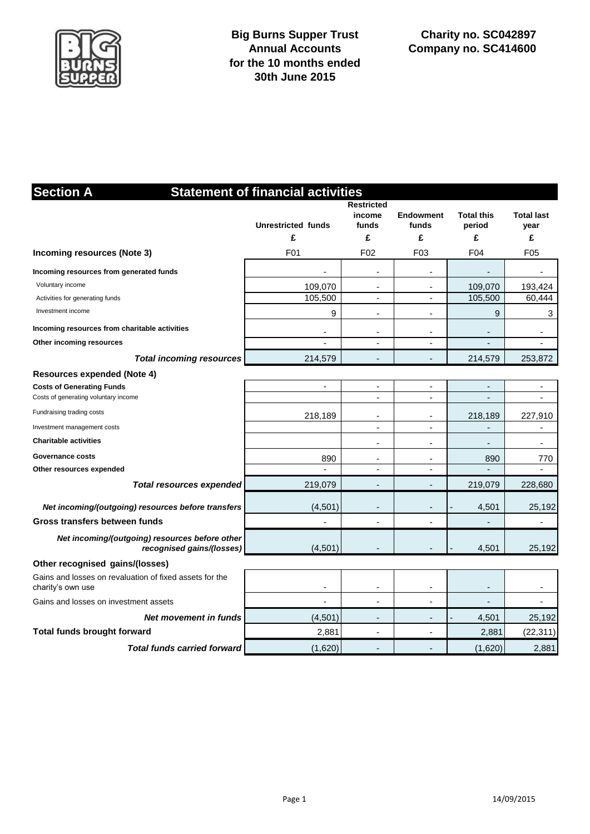

| <b>Section A</b>                                                             | <b>Statement of financial activities</b><br><b>Restricted</b> |                                    |                                            |                                  |                                |  |  |  |  |  |
|------------------------------------------------------------------------------|---------------------------------------------------------------|------------------------------------|--------------------------------------------|----------------------------------|--------------------------------|--|--|--|--|--|
|                                                                              | <b>Unrestricted funds</b><br>£                                | income<br>funds<br>£               | <b>Endowment</b><br>funds<br>£             | <b>Total this</b><br>period<br>£ | <b>Total last</b><br>year<br>£ |  |  |  |  |  |
| Incoming resources (Note 3)                                                  | F <sub>01</sub>                                               | F <sub>02</sub>                    | F03                                        | F04                              | F05                            |  |  |  |  |  |
| Incoming resources from generated funds<br>Voluntary income                  | 109,070                                                       | ä,                                 | $\overline{\phantom{a}}$                   | 109,070                          | 193,424                        |  |  |  |  |  |
| Activities for generating funds<br>Investment income                         | 105,500<br>9                                                  | ٠                                  | $\overline{\phantom{a}}$<br>$\blacksquare$ | 105,500<br>9                     | 60,444<br>3                    |  |  |  |  |  |
| Incoming resources from charitable activities<br>Other incoming resources    | ٠                                                             | $\overline{\phantom{a}}$           | $\overline{\phantom{a}}$                   |                                  | ٠                              |  |  |  |  |  |
| <b>Total incoming resources</b>                                              | 214,579                                                       |                                    |                                            | 214,579                          | 253,872                        |  |  |  |  |  |
| <b>Resources expended (Note 4)</b><br><b>Costs of Generating Funds</b>       | $\overline{\phantom{a}}$                                      | $\overline{\phantom{a}}$           | $\overline{\phantom{a}}$                   |                                  | $\blacksquare$                 |  |  |  |  |  |
| Costs of generating voluntary income                                         |                                                               |                                    | $\overline{\phantom{a}}$                   |                                  | $\blacksquare$                 |  |  |  |  |  |
| Fundraising trading costs                                                    | 218,189                                                       | $\overline{\phantom{a}}$           | $\overline{a}$                             | 218,189                          | 227,910                        |  |  |  |  |  |
| Investment management costs                                                  |                                                               | $\sim$                             | $\blacksquare$                             |                                  | $\blacksquare$                 |  |  |  |  |  |
| <b>Charitable activities</b>                                                 |                                                               | ÷,                                 | $\overline{\phantom{a}}$                   |                                  | $\overline{\phantom{a}}$       |  |  |  |  |  |
| <b>Governance costs</b><br>Other resources expended                          | 890                                                           | $\overline{\phantom{a}}$<br>$\sim$ | $\overline{\phantom{a}}$                   | 890                              | 770<br>÷,                      |  |  |  |  |  |
| <b>Total resources expended</b>                                              | 219,079                                                       | $\overline{a}$                     | ÷                                          | 219,079                          | 228,680                        |  |  |  |  |  |
| Net incoming/(outgoing) resources before transfers                           | (4, 501)                                                      | $\blacksquare$                     | $\overline{\phantom{a}}$                   | 4,501                            | 25,192                         |  |  |  |  |  |
| Gross transfers between funds                                                |                                                               |                                    | Ĭ.                                         |                                  | $\blacksquare$                 |  |  |  |  |  |
| Net incoming/(outgoing) resources before other<br>recognised gains/(losses)  | (4, 501)                                                      |                                    |                                            | 4,501                            | 25,192                         |  |  |  |  |  |
| Other recognised gains/(losses)                                              |                                                               |                                    |                                            |                                  |                                |  |  |  |  |  |
| Gains and losses on revaluation of fixed assets for the<br>charity's own use |                                                               |                                    |                                            |                                  | ٠                              |  |  |  |  |  |
| Gains and losses on investment assets                                        |                                                               |                                    |                                            |                                  |                                |  |  |  |  |  |
| Net movement in funds                                                        | (4,501)                                                       | $\overline{a}$                     | ÷                                          | 4,501                            | 25,192                         |  |  |  |  |  |
| <b>Total funds brought forward</b>                                           | 2,881                                                         | ٠                                  | $\blacksquare$                             | 2,881                            | (22, 311)                      |  |  |  |  |  |
| <b>Total funds carried forward</b>                                           | (1,620)                                                       |                                    |                                            | (1,620)                          | 2,881                          |  |  |  |  |  |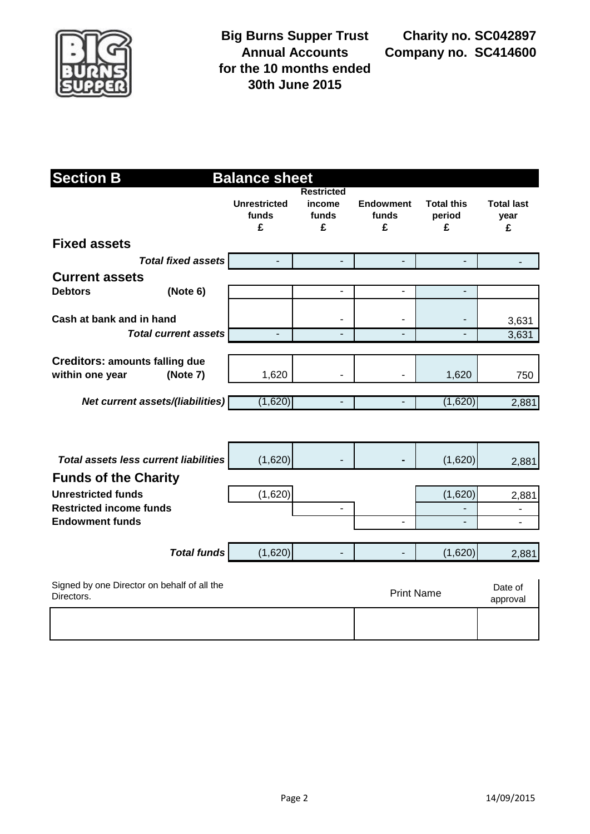

**Charity no. SC042897 Company no. SC414600**

| <b>Section B</b><br><b>Balance sheet</b>                    |                                              |                                   |                                           |                                |                                  |                                |  |
|-------------------------------------------------------------|----------------------------------------------|-----------------------------------|-------------------------------------------|--------------------------------|----------------------------------|--------------------------------|--|
|                                                             |                                              | <b>Unrestricted</b><br>funds<br>£ | <b>Restricted</b><br>income<br>funds<br>£ | <b>Endowment</b><br>funds<br>£ | <b>Total this</b><br>period<br>£ | <b>Total last</b><br>year<br>£ |  |
| <b>Fixed assets</b>                                         |                                              |                                   |                                           |                                |                                  |                                |  |
|                                                             | <b>Total fixed assets</b>                    | $\blacksquare$                    | -                                         | $\blacksquare$                 | $\blacksquare$                   |                                |  |
| <b>Current assets</b><br><b>Debtors</b>                     | (Note 6)                                     |                                   | $\overline{\phantom{0}}$                  | $\overline{a}$                 | ۰                                |                                |  |
| Cash at bank and in hand                                    | <b>Total current assets</b>                  |                                   | $\blacksquare$                            | $\blacksquare$                 |                                  | 3,631<br>3,631                 |  |
|                                                             |                                              |                                   |                                           |                                |                                  |                                |  |
| <b>Creditors: amounts falling due</b><br>within one year    | (Note 7)                                     | 1,620                             | $\blacksquare$                            |                                | 1,620                            | 750                            |  |
|                                                             | Net current assets/(liabilities)             | (1,620)                           | $\overline{a}$                            |                                | (1,620)                          | 2,881                          |  |
|                                                             |                                              |                                   |                                           |                                |                                  |                                |  |
|                                                             | <b>Total assets less current liabilities</b> | (1,620)                           |                                           |                                | (1,620)                          | 2,881                          |  |
| <b>Funds of the Charity</b>                                 |                                              |                                   |                                           |                                |                                  |                                |  |
| <b>Unrestricted funds</b><br><b>Restricted income funds</b> |                                              | (1,620)                           | $\blacksquare$                            |                                | (1,620)                          | 2,881                          |  |
| <b>Endowment funds</b>                                      |                                              |                                   |                                           | $\blacksquare$                 | ÷,                               | ä,                             |  |
|                                                             |                                              |                                   |                                           |                                |                                  |                                |  |
|                                                             | <b>Total funds</b>                           | (1,620)                           |                                           |                                | (1,620)                          | 2,881                          |  |
| Directors.                                                  | Signed by one Director on behalf of all the  |                                   |                                           | <b>Print Name</b>              |                                  | Date of<br>approval            |  |
|                                                             |                                              |                                   |                                           |                                |                                  |                                |  |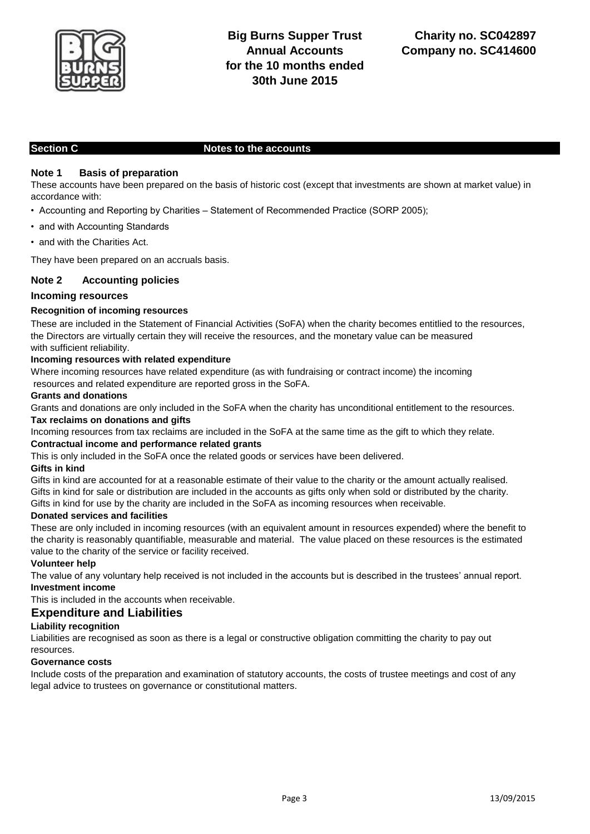

## **Section C** Notes to the accounts

## **Note 1 Basis of preparation**

These accounts have been prepared on the basis of historic cost (except that investments are shown at market value) in accordance with:

- Accounting and Reporting by Charities Statement of Recommended Practice (SORP 2005);
- and with Accounting Standards
- and with the Charities Act.

They have been prepared on an accruals basis.

## **Note 2 Accounting policies**

## **Incoming resources**

## **Recognition of incoming resources**

These are included in the Statement of Financial Activities (SoFA) when the charity becomes entitlied to the resources, the Directors are virtually certain they will receive the resources, and the monetary value can be measured with sufficient reliability.

### **Incoming resources with related expenditure**

Where incoming resources have related expenditure (as with fundraising or contract income) the incoming resources and related expenditure are reported gross in the SoFA.

### **Grants and donations**

Grants and donations are only included in the SoFA when the charity has unconditional entitlement to the resources. **Tax reclaims on donations and gifts**

Incoming resources from tax reclaims are included in the SoFA at the same time as the gift to which they relate. **Contractual income and performance related grants** 

This is only included in the SoFA once the related goods or services have been delivered.

### **Gifts in kind**

Gifts in kind are accounted for at a reasonable estimate of their value to the charity or the amount actually realised. Gifts in kind for sale or distribution are included in the accounts as gifts only when sold or distributed by the charity. Gifts in kind for use by the charity are included in the SoFA as incoming resources when receivable.

### **Donated services and facilities**

These are only included in incoming resources (with an equivalent amount in resources expended) where the benefit to the charity is reasonably quantifiable, measurable and material. The value placed on these resources is the estimated value to the charity of the service or facility received.

## **Volunteer help**

The value of any voluntary help received is not included in the accounts but is described in the trustees' annual report. **Investment income** 

This is included in the accounts when receivable.

## **Expenditure and Liabilities**

## **Liability recognition**

Liabilities are recognised as soon as there is a legal or constructive obligation committing the charity to pay out resources.

### **Governance costs**

Include costs of the preparation and examination of statutory accounts, the costs of trustee meetings and cost of any legal advice to trustees on governance or constitutional matters.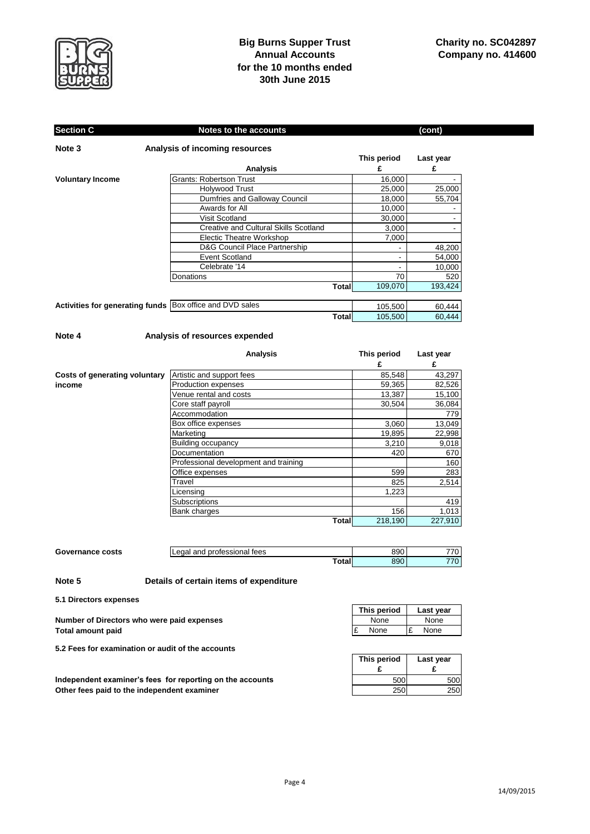

# **Big Burns Supper Trust Annual Accounts for the 10 months ended 30th June 2015**

#### **This period Last year £ £** Grants: Robertson Trust 16,000 -<br>
Holywood Trust 25,000 25,000 Holywood Trust Dumfries and Galloway Council 18,000 55,704 Awards for All 10,000 Visit Scotland 30,000 -Creative and Cultural Skills Scotland 1 3,000 Electic Theatre Workshop 7,000 D&G Council Place Partnership 48,200<br>Event Scotland - 54,000 Event Scotland - 54,000<br>
Celebrate '14 - 10,000 Celebrate '14 - 10,000 m<br>ns 3 - 10,000 m<br>70 Donations 520 520 **Total** 109,070 193,424 Activities for generating funds Box office and DVD sales 105,500 60,444 **Total** 105,500 60,444 **Section C** Notes to the accounts (cont) **Note 3 Analysis of incoming resources Analysis Voluntary Income**

#### **Note 4 Analysis of resources expended**

|                               | <b>Analysis</b>                       | This period | Last year |
|-------------------------------|---------------------------------------|-------------|-----------|
|                               |                                       | £           | £         |
| Costs of generating voluntary | Artistic and support fees             | 85,548      | 43,297    |
| income                        | <b>Production expenses</b>            | 59,365      | 82,526    |
|                               | Venue rental and costs                | 13,387      | 15,100    |
|                               | Core staff payroll                    | 30,504      | 36,084    |
|                               | Accommodation                         |             | 779       |
|                               | Box office expenses                   | 3,060       | 13,049    |
|                               | Marketing                             | 19,895      | 22,998    |
|                               | <b>Building occupancy</b>             | 3,210       | 9,018     |
|                               | Documentation                         | 420         | 670       |
|                               | Professional development and training |             | 160       |
|                               | Office expenses                       | 599         | 283       |
|                               | Travel                                | 825         | 2,514     |
|                               | Licensina                             | 1,223       |           |
|                               | Subscriptions                         |             | 419       |
|                               | Bank charges                          | 156         | 1,013     |
|                               | Total                                 | 218,190     | 227,910   |

| Governance costs | ` professional .<br>and<br>tees<br>egal | 890 | ーーへ<br>ັບ |
|------------------|-----------------------------------------|-----|-----------|
|                  | ⊺otal                                   | 890 | 770<br>ν  |

#### **Note 5 Details of certain items of expenditure**

**5.1 Directors expenses**

| Number of Directors who were paid expenses | None |     | None |
|--------------------------------------------|------|-----|------|
| <b>Total amount paid</b>                   | None | -l£ | None |

**5.2 Fees for examination or audit of the accounts**

Independent examiner's fees for reporting on the accounts **Other fees paid to the independent examiner** 

| This period | Last vear |
|-------------|-----------|
| None        | None      |
| None<br>Ľ   | None      |

| This period<br>F | Last year<br>F |
|------------------|----------------|
| 500              | 500            |
| 250              |                |